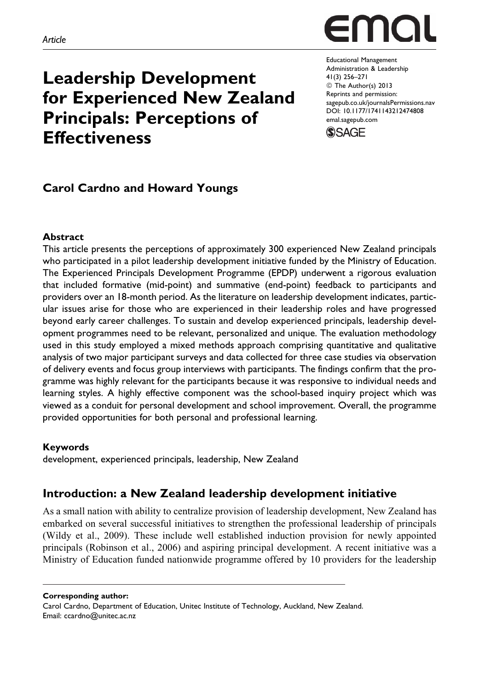# Leadership Development for Experienced New Zealand Principals: Perceptions of **Effectiveness**

# emc

Educational Management Administration & Leadership 41(3) 256–271 © The Author(s) 2013 Reprints and permission: [sagepub.co.uk/journalsPermissions.nav](http://www.sagepub.co.uk/journalsPermissions.nav) DOI: 10.1177/1741143212474808 [emal.sagepub.com](http://emal.sagepub.com)



# Carol Cardno and Howard Youngs

#### **Abstract**

This article presents the perceptions of approximately 300 experienced New Zealand principals who participated in a pilot leadership development initiative funded by the Ministry of Education. The Experienced Principals Development Programme (EPDP) underwent a rigorous evaluation that included formative (mid-point) and summative (end-point) feedback to participants and providers over an 18-month period. As the literature on leadership development indicates, particular issues arise for those who are experienced in their leadership roles and have progressed beyond early career challenges. To sustain and develop experienced principals, leadership development programmes need to be relevant, personalized and unique. The evaluation methodology used in this study employed a mixed methods approach comprising quantitative and qualitative analysis of two major participant surveys and data collected for three case studies via observation of delivery events and focus group interviews with participants. The findings confirm that the programme was highly relevant for the participants because it was responsive to individual needs and learning styles. A highly effective component was the school-based inquiry project which was viewed as a conduit for personal development and school improvement. Overall, the programme provided opportunities for both personal and professional learning.

#### Keywords

development, experienced principals, leadership, New Zealand

# Introduction: a New Zealand leadership development initiative

As a small nation with ability to centralize provision of leadership development, New Zealand has embarked on several successful initiatives to strengthen the professional leadership of principals (Wildy et al., 2009). These include well established induction provision for newly appointed principals (Robinson et al., 2006) and aspiring principal development. A recent initiative was a Ministry of Education funded nationwide programme offered by 10 providers for the leadership

Corresponding author:

Carol Cardno, Department of Education, Unitec Institute of Technology, Auckland, New Zealand. Email: ccardno@unitec.ac.nz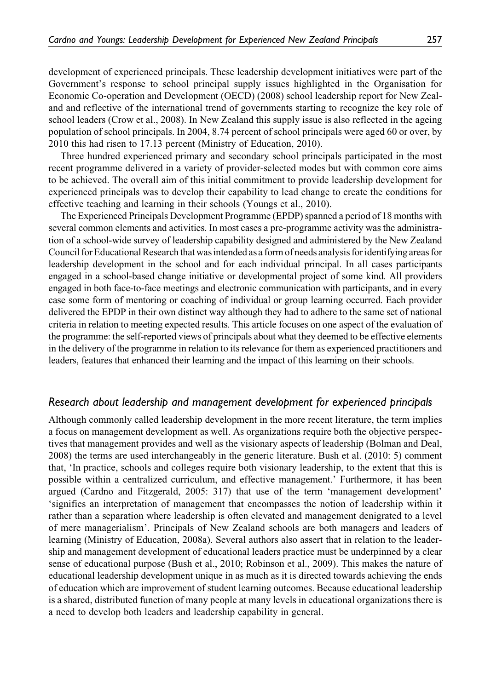development of experienced principals. These leadership development initiatives were part of the Government's response to school principal supply issues highlighted in the Organisation for Economic Co-operation and Development (OECD) (2008) school leadership report for New Zealand and reflective of the international trend of governments starting to recognize the key role of school leaders (Crow et al., 2008). In New Zealand this supply issue is also reflected in the ageing population of school principals. In 2004, 8.74 percent of school principals were aged 60 or over, by 2010 this had risen to 17.13 percent (Ministry of Education, 2010).

Three hundred experienced primary and secondary school principals participated in the most recent programme delivered in a variety of provider-selected modes but with common core aims to be achieved. The overall aim of this initial commitment to provide leadership development for experienced principals was to develop their capability to lead change to create the conditions for effective teaching and learning in their schools (Youngs et al., 2010).

The Experienced Principals Development Programme (EPDP) spanned a period of 18 months with several common elements and activities. In most cases a pre-programme activity was the administration of a school-wide survey of leadership capability designed and administered by the New Zealand Council for Educational Research that was intended as a form of needs analysis for identifying areas for leadership development in the school and for each individual principal. In all cases participants engaged in a school-based change initiative or developmental project of some kind. All providers engaged in both face-to-face meetings and electronic communication with participants, and in every case some form of mentoring or coaching of individual or group learning occurred. Each provider delivered the EPDP in their own distinct way although they had to adhere to the same set of national criteria in relation to meeting expected results. This article focuses on one aspect of the evaluation of the programme: the self-reported views of principals about what they deemed to be effective elements in the delivery of the programme in relation to its relevance for them as experienced practitioners and leaders, features that enhanced their learning and the impact of this learning on their schools.

#### Research about leadership and management development for experienced principals

Although commonly called leadership development in the more recent literature, the term implies a focus on management development as well. As organizations require both the objective perspectives that management provides and well as the visionary aspects of leadership (Bolman and Deal, 2008) the terms are used interchangeably in the generic literature. Bush et al. (2010: 5) comment that, 'In practice, schools and colleges require both visionary leadership, to the extent that this is possible within a centralized curriculum, and effective management.' Furthermore, it has been argued (Cardno and Fitzgerald, 2005: 317) that use of the term 'management development' 'signifies an interpretation of management that encompasses the notion of leadership within it rather than a separation where leadership is often elevated and management denigrated to a level of mere managerialism'. Principals of New Zealand schools are both managers and leaders of learning (Ministry of Education, 2008a). Several authors also assert that in relation to the leadership and management development of educational leaders practice must be underpinned by a clear sense of educational purpose (Bush et al., 2010; Robinson et al., 2009). This makes the nature of educational leadership development unique in as much as it is directed towards achieving the ends of education which are improvement of student learning outcomes. Because educational leadership is a shared, distributed function of many people at many levels in educational organizations there is a need to develop both leaders and leadership capability in general.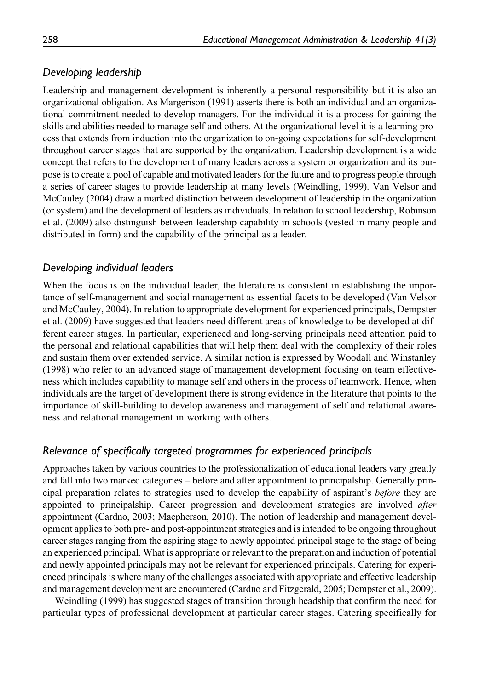# Developing leadership

Leadership and management development is inherently a personal responsibility but it is also an organizational obligation. As Margerison (1991) asserts there is both an individual and an organizational commitment needed to develop managers. For the individual it is a process for gaining the skills and abilities needed to manage self and others. At the organizational level it is a learning process that extends from induction into the organization to on-going expectations for self-development throughout career stages that are supported by the organization. Leadership development is a wide concept that refers to the development of many leaders across a system or organization and its purpose is to create a pool of capable and motivated leaders for the future and to progress people through a series of career stages to provide leadership at many levels (Weindling, 1999). Van Velsor and McCauley (2004) draw a marked distinction between development of leadership in the organization (or system) and the development of leaders as individuals. In relation to school leadership, Robinson et al. (2009) also distinguish between leadership capability in schools (vested in many people and distributed in form) and the capability of the principal as a leader.

# Developing individual leaders

When the focus is on the individual leader, the literature is consistent in establishing the importance of self-management and social management as essential facets to be developed (Van Velsor and McCauley, 2004). In relation to appropriate development for experienced principals, Dempster et al. (2009) have suggested that leaders need different areas of knowledge to be developed at different career stages. In particular, experienced and long-serving principals need attention paid to the personal and relational capabilities that will help them deal with the complexity of their roles and sustain them over extended service. A similar notion is expressed by Woodall and Winstanley (1998) who refer to an advanced stage of management development focusing on team effectiveness which includes capability to manage self and others in the process of teamwork. Hence, when individuals are the target of development there is strong evidence in the literature that points to the importance of skill-building to develop awareness and management of self and relational awareness and relational management in working with others.

# Relevance of specifically targeted programmes for experienced principals

Approaches taken by various countries to the professionalization of educational leaders vary greatly and fall into two marked categories – before and after appointment to principalship. Generally principal preparation relates to strategies used to develop the capability of aspirant's before they are appointed to principalship. Career progression and development strategies are involved after appointment (Cardno, 2003; Macpherson, 2010). The notion of leadership and management development applies to both pre- and post-appointment strategies and is intended to be ongoing throughout career stages ranging from the aspiring stage to newly appointed principal stage to the stage of being an experienced principal. What is appropriate or relevant to the preparation and induction of potential and newly appointed principals may not be relevant for experienced principals. Catering for experienced principals is where many of the challenges associated with appropriate and effective leadership and management development are encountered (Cardno and Fitzgerald, 2005; Dempster et al., 2009).

Weindling (1999) has suggested stages of transition through headship that confirm the need for particular types of professional development at particular career stages. Catering specifically for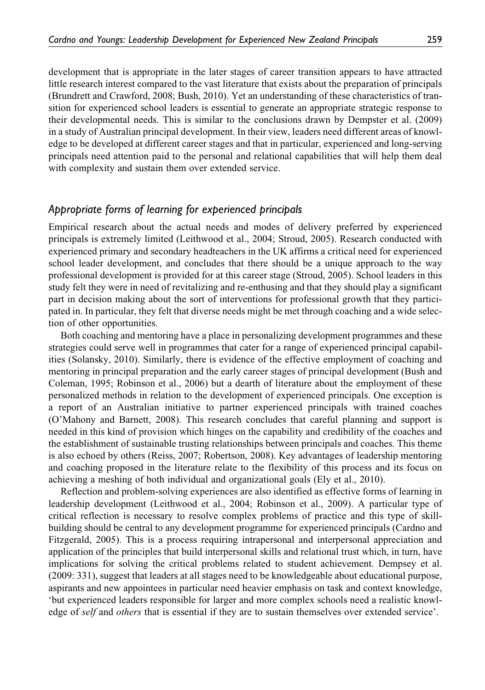development that is appropriate in the later stages of career transition appears to have attracted little research interest compared to the vast literature that exists about the preparation of principals (Brundrett and Crawford, 2008; Bush, 2010). Yet an understanding of these characteristics of transition for experienced school leaders is essential to generate an appropriate strategic response to their developmental needs. This is similar to the conclusions drawn by Dempster et al. (2009) in a study of Australian principal development. In their view, leaders need different areas of knowledge to be developed at different career stages and that in particular, experienced and long-serving principals need attention paid to the personal and relational capabilities that will help them deal with complexity and sustain them over extended service.

#### Appropriate forms of learning for experienced principals

Empirical research about the actual needs and modes of delivery preferred by experienced principals is extremely limited (Leithwood et al., 2004; Stroud, 2005). Research conducted with experienced primary and secondary headteachers in the UK affirms a critical need for experienced school leader development, and concludes that there should be a unique approach to the way professional development is provided for at this career stage (Stroud, 2005). School leaders in this study felt they were in need of revitalizing and re-enthusing and that they should play a significant part in decision making about the sort of interventions for professional growth that they participated in. In particular, they felt that diverse needs might be met through coaching and a wide selection of other opportunities.

Both coaching and mentoring have a place in personalizing development programmes and these strategies could serve well in programmes that cater for a range of experienced principal capabilities (Solansky, 2010). Similarly, there is evidence of the effective employment of coaching and mentoring in principal preparation and the early career stages of principal development (Bush and Coleman, 1995; Robinson et al., 2006) but a dearth of literature about the employment of these personalized methods in relation to the development of experienced principals. One exception is a report of an Australian initiative to partner experienced principals with trained coaches (O'Mahony and Barnett, 2008). This research concludes that careful planning and support is needed in this kind of provision which hinges on the capability and credibility of the coaches and the establishment of sustainable trusting relationships between principals and coaches. This theme is also echoed by others (Reiss, 2007; Robertson, 2008). Key advantages of leadership mentoring and coaching proposed in the literature relate to the flexibility of this process and its focus on achieving a meshing of both individual and organizational goals (Ely et al., 2010).

Reflection and problem-solving experiences are also identified as effective forms of learning in leadership development (Leithwood et al., 2004; Robinson et al., 2009). A particular type of critical reflection is necessary to resolve complex problems of practice and this type of skillbuilding should be central to any development programme for experienced principals (Cardno and Fitzgerald, 2005). This is a process requiring intrapersonal and interpersonal appreciation and application of the principles that build interpersonal skills and relational trust which, in turn, have implications for solving the critical problems related to student achievement. Dempsey et al. (2009: 331), suggest that leaders at all stages need to be knowledgeable about educational purpose, aspirants and new appointees in particular need heavier emphasis on task and context knowledge, 'but experienced leaders responsible for larger and more complex schools need a realistic knowledge of self and others that is essential if they are to sustain themselves over extended service'.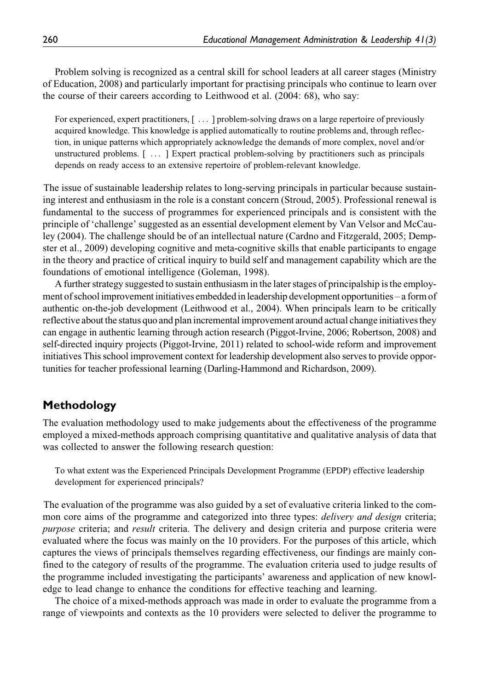Problem solving is recognized as a central skill for school leaders at all career stages (Ministry of Education, 2008) and particularly important for practising principals who continue to learn over the course of their careers according to Leithwood et al. (2004: 68), who say:

For experienced, expert practitioners, [ ... ] problem-solving draws on a large repertoire of previously acquired knowledge. This knowledge is applied automatically to routine problems and, through reflection, in unique patterns which appropriately acknowledge the demands of more complex, novel and/or unstructured problems. [ ... ] Expert practical problem-solving by practitioners such as principals depends on ready access to an extensive repertoire of problem-relevant knowledge.

The issue of sustainable leadership relates to long-serving principals in particular because sustaining interest and enthusiasm in the role is a constant concern (Stroud, 2005). Professional renewal is fundamental to the success of programmes for experienced principals and is consistent with the principle of 'challenge' suggested as an essential development element by Van Velsor and McCauley (2004). The challenge should be of an intellectual nature (Cardno and Fitzgerald, 2005; Dempster et al., 2009) developing cognitive and meta-cognitive skills that enable participants to engage in the theory and practice of critical inquiry to build self and management capability which are the foundations of emotional intelligence (Goleman, 1998).

A further strategy suggested to sustain enthusiasm in the later stages of principalship is the employment of school improvement initiatives embeddedin leadership development opportunities – a form of authentic on-the-job development (Leithwood et al., 2004). When principals learn to be critically reflective about the status quo and plan incremental improvement around actual change initiatives they can engage in authentic learning through action research (Piggot-Irvine, 2006; Robertson, 2008) and self-directed inquiry projects (Piggot-Irvine, 2011) related to school-wide reform and improvement initiatives This school improvement context for leadership development also serves to provide opportunities for teacher professional learning (Darling-Hammond and Richardson, 2009).

# Methodology

The evaluation methodology used to make judgements about the effectiveness of the programme employed a mixed-methods approach comprising quantitative and qualitative analysis of data that was collected to answer the following research question:

To what extent was the Experienced Principals Development Programme (EPDP) effective leadership development for experienced principals?

The evaluation of the programme was also guided by a set of evaluative criteria linked to the common core aims of the programme and categorized into three types: *delivery and design* criteria; purpose criteria; and *result* criteria. The delivery and design criteria and purpose criteria were evaluated where the focus was mainly on the 10 providers. For the purposes of this article, which captures the views of principals themselves regarding effectiveness, our findings are mainly confined to the category of results of the programme. The evaluation criteria used to judge results of the programme included investigating the participants' awareness and application of new knowledge to lead change to enhance the conditions for effective teaching and learning.

The choice of a mixed-methods approach was made in order to evaluate the programme from a range of viewpoints and contexts as the 10 providers were selected to deliver the programme to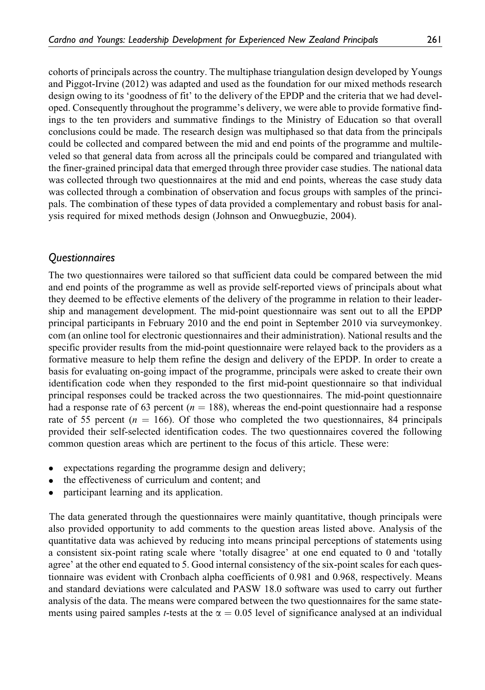cohorts of principals across the country. The multiphase triangulation design developed by Youngs and Piggot-Irvine (2012) was adapted and used as the foundation for our mixed methods research design owing to its 'goodness of fit' to the delivery of the EPDP and the criteria that we had developed. Consequently throughout the programme's delivery, we were able to provide formative findings to the ten providers and summative findings to the Ministry of Education so that overall conclusions could be made. The research design was multiphased so that data from the principals could be collected and compared between the mid and end points of the programme and multileveled so that general data from across all the principals could be compared and triangulated with the finer-grained principal data that emerged through three provider case studies. The national data was collected through two questionnaires at the mid and end points, whereas the case study data was collected through a combination of observation and focus groups with samples of the principals. The combination of these types of data provided a complementary and robust basis for analysis required for mixed methods design (Johnson and Onwuegbuzie, 2004).

# Questionnaires

The two questionnaires were tailored so that sufficient data could be compared between the mid and end points of the programme as well as provide self-reported views of principals about what they deemed to be effective elements of the delivery of the programme in relation to their leadership and management development. The mid-point questionnaire was sent out to all the EPDP principal participants in February 2010 and the end point in September 2010 via surveymonkey. com (an online tool for electronic questionnaires and their administration). National results and the specific provider results from the mid-point questionnaire were relayed back to the providers as a formative measure to help them refine the design and delivery of the EPDP. In order to create a basis for evaluating on-going impact of the programme, principals were asked to create their own identification code when they responded to the first mid-point questionnaire so that individual principal responses could be tracked across the two questionnaires. The mid-point questionnaire had a response rate of 63 percent ( $n = 188$ ), whereas the end-point questionnaire had a response rate of 55 percent ( $n = 166$ ). Of those who completed the two questionnaires, 84 principals provided their self-selected identification codes. The two questionnaires covered the following common question areas which are pertinent to the focus of this article. These were:

- $\bullet$ expectations regarding the programme design and delivery;
- $\bullet$ the effectiveness of curriculum and content; and
- $\bullet$ participant learning and its application.

The data generated through the questionnaires were mainly quantitative, though principals were also provided opportunity to add comments to the question areas listed above. Analysis of the quantitative data was achieved by reducing into means principal perceptions of statements using a consistent six-point rating scale where 'totally disagree' at one end equated to 0 and 'totally agree' at the other end equated to 5. Good internal consistency of the six-point scales for each questionnaire was evident with Cronbach alpha coefficients of 0.981 and 0.968, respectively. Means and standard deviations were calculated and PASW 18.0 software was used to carry out further analysis of the data. The means were compared between the two questionnaires for the same statements using paired samples *t*-tests at the  $\alpha = 0.05$  level of significance analysed at an individual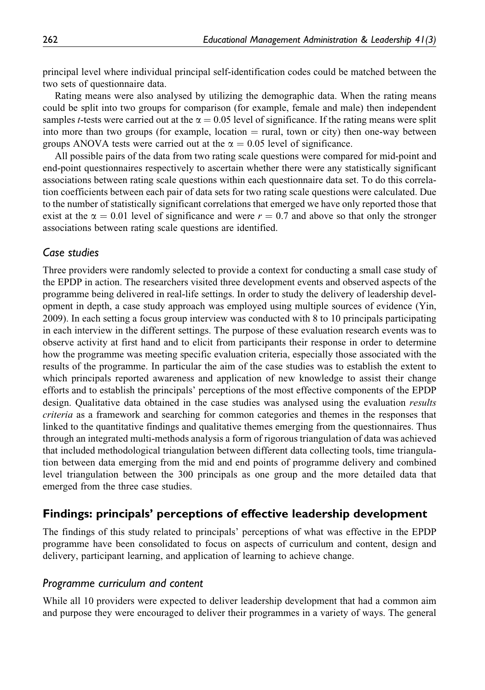principal level where individual principal self-identification codes could be matched between the two sets of questionnaire data.

Rating means were also analysed by utilizing the demographic data. When the rating means could be split into two groups for comparison (for example, female and male) then independent samples t-tests were carried out at the  $\alpha = 0.05$  level of significance. If the rating means were split into more than two groups (for example, location  $=$  rural, town or city) then one-way between groups ANOVA tests were carried out at the  $\alpha = 0.05$  level of significance.

All possible pairs of the data from two rating scale questions were compared for mid-point and end-point questionnaires respectively to ascertain whether there were any statistically significant associations between rating scale questions within each questionnaire data set. To do this correlation coefficients between each pair of data sets for two rating scale questions were calculated. Due to the number of statistically significant correlations that emerged we have only reported those that exist at the  $\alpha = 0.01$  level of significance and were  $r = 0.7$  and above so that only the stronger associations between rating scale questions are identified.

# Case studies

Three providers were randomly selected to provide a context for conducting a small case study of the EPDP in action. The researchers visited three development events and observed aspects of the programme being delivered in real-life settings. In order to study the delivery of leadership development in depth, a case study approach was employed using multiple sources of evidence (Yin, 2009). In each setting a focus group interview was conducted with 8 to 10 principals participating in each interview in the different settings. The purpose of these evaluation research events was to observe activity at first hand and to elicit from participants their response in order to determine how the programme was meeting specific evaluation criteria, especially those associated with the results of the programme. In particular the aim of the case studies was to establish the extent to which principals reported awareness and application of new knowledge to assist their change efforts and to establish the principals' perceptions of the most effective components of the EPDP design. Qualitative data obtained in the case studies was analysed using the evaluation *results* criteria as a framework and searching for common categories and themes in the responses that linked to the quantitative findings and qualitative themes emerging from the questionnaires. Thus through an integrated multi-methods analysis a form of rigorous triangulation of data was achieved that included methodological triangulation between different data collecting tools, time triangulation between data emerging from the mid and end points of programme delivery and combined level triangulation between the 300 principals as one group and the more detailed data that emerged from the three case studies.

# Findings: principals' perceptions of effective leadership development

The findings of this study related to principals' perceptions of what was effective in the EPDP programme have been consolidated to focus on aspects of curriculum and content, design and delivery, participant learning, and application of learning to achieve change.

#### Programme curriculum and content

While all 10 providers were expected to deliver leadership development that had a common aim and purpose they were encouraged to deliver their programmes in a variety of ways. The general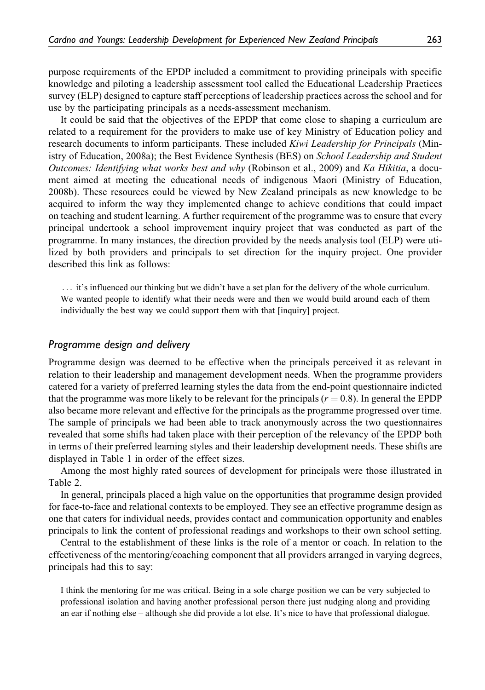purpose requirements of the EPDP included a commitment to providing principals with specific knowledge and piloting a leadership assessment tool called the Educational Leadership Practices survey (ELP) designed to capture staff perceptions of leadership practices across the school and for use by the participating principals as a needs-assessment mechanism.

It could be said that the objectives of the EPDP that come close to shaping a curriculum are related to a requirement for the providers to make use of key Ministry of Education policy and research documents to inform participants. These included *Kiwi Leadership for Principals* (Ministry of Education, 2008a); the Best Evidence Synthesis (BES) on School Leadership and Student Outcomes: Identifying what works best and why (Robinson et al., 2009) and Ka Hikitia, a document aimed at meeting the educational needs of indigenous Maori (Ministry of Education, 2008b). These resources could be viewed by New Zealand principals as new knowledge to be acquired to inform the way they implemented change to achieve conditions that could impact on teaching and student learning. A further requirement of the programme was to ensure that every principal undertook a school improvement inquiry project that was conducted as part of the programme. In many instances, the direction provided by the needs analysis tool (ELP) were utilized by both providers and principals to set direction for the inquiry project. One provider described this link as follows:

... it's influenced our thinking but we didn't have a set plan for the delivery of the whole curriculum. We wanted people to identify what their needs were and then we would build around each of them individually the best way we could support them with that [inquiry] project.

#### Programme design and delivery

Programme design was deemed to be effective when the principals perceived it as relevant in relation to their leadership and management development needs. When the programme providers catered for a variety of preferred learning styles the data from the end-point questionnaire indicted that the programme was more likely to be relevant for the principals ( $r = 0.8$ ). In general the EPDP also became more relevant and effective for the principals as the programme progressed over time. The sample of principals we had been able to track anonymously across the two questionnaires revealed that some shifts had taken place with their perception of the relevancy of the EPDP both in terms of their preferred learning styles and their leadership development needs. These shifts are displayed in Table 1 in order of the effect sizes.

Among the most highly rated sources of development for principals were those illustrated in Table 2.

In general, principals placed a high value on the opportunities that programme design provided for face-to-face and relational contexts to be employed. They see an effective programme design as one that caters for individual needs, provides contact and communication opportunity and enables principals to link the content of professional readings and workshops to their own school setting.

Central to the establishment of these links is the role of a mentor or coach. In relation to the effectiveness of the mentoring/coaching component that all providers arranged in varying degrees, principals had this to say:

I think the mentoring for me was critical. Being in a sole charge position we can be very subjected to professional isolation and having another professional person there just nudging along and providing an ear if nothing else – although she did provide a lot else. It's nice to have that professional dialogue.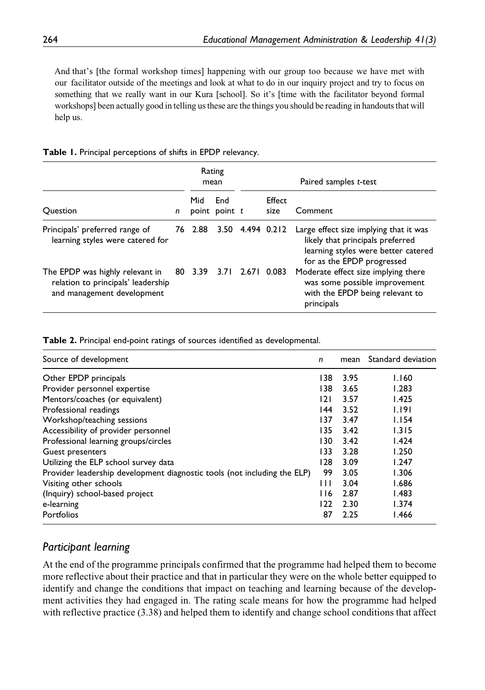And that's [the formal workshop times] happening with our group too because we have met with our facilitator outside of the meetings and look at what to do in our inquiry project and try to focus on something that we really want in our Kura [school]. So it's [time with the facilitator beyond formal workshops] been actually good in telling us these are the things you should be reading in handouts that will help us.

|                                                                                                     | Rating<br>mean |     |                      | Paired samples t-test    |                          |                                                                                                                                                 |  |
|-----------------------------------------------------------------------------------------------------|----------------|-----|----------------------|--------------------------|--------------------------|-------------------------------------------------------------------------------------------------------------------------------------------------|--|
| <b>Ouestion</b>                                                                                     | n              | Mid | End<br>point point t |                          | Effect<br>size           | Comment                                                                                                                                         |  |
| Principals' preferred range of<br>learning styles were catered for                                  |                |     |                      |                          | 76 2.88 3.50 4.494 0.212 | Large effect size implying that it was<br>likely that principals preferred<br>learning styles were better catered<br>for as the EPDP progressed |  |
| The EPDP was highly relevant in<br>relation to principals' leadership<br>and management development |                |     |                      | 80 3.39 3.71 2.671 0.083 |                          | Moderate effect size implying there<br>was some possible improvement<br>with the EPDP being relevant to<br>principals                           |  |

#### Table 1. Principal perceptions of shifts in EPDP relevancy.

Table 2. Principal end-point ratings of sources identified as developmental.

| Source of development                                                    | n     | mean | Standard deviation |
|--------------------------------------------------------------------------|-------|------|--------------------|
| Other EPDP principals                                                    | 138   | 3.95 | 1.160              |
| Provider personnel expertise                                             | 138   | 3.65 | 1.283              |
| Mentors/coaches (or equivalent)                                          | 121   | 3.57 | 1.425              |
| Professional readings                                                    | 144   | 3.52 | 1.191              |
| Workshop/teaching sessions                                               | 137   | 3.47 | 1.154              |
| Accessibility of provider personnel                                      | 135   | 3.42 | 1.315              |
| Professional learning groups/circles                                     | 130   | 3.42 | 1.424              |
| Guest presenters                                                         | 133   | 3.28 | 1.250              |
| Utilizing the ELP school survey data                                     | 128   | 3.09 | 1.247              |
| Provider leadership development diagnostic tools (not including the ELP) | 99    | 3.05 | 1.306              |
| Visiting other schools                                                   | 1 I I | 3.04 | 1.686              |
| (Inquiry) school-based project                                           | 116   | 2.87 | 1.483              |
| e-learning                                                               | 122   | 2.30 | 1.374              |
| Portfolios                                                               | 87    | 2.25 | 1.466              |

# Participant learning

At the end of the programme principals confirmed that the programme had helped them to become more reflective about their practice and that in particular they were on the whole better equipped to identify and change the conditions that impact on teaching and learning because of the development activities they had engaged in. The rating scale means for how the programme had helped with reflective practice (3.38) and helped them to identify and change school conditions that affect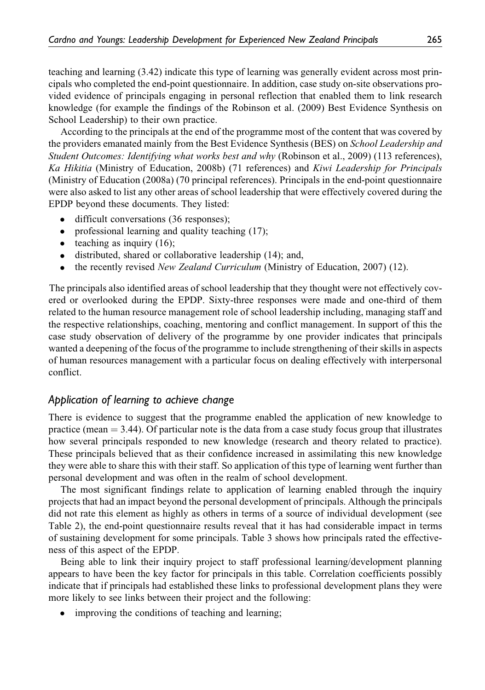teaching and learning (3.42) indicate this type of learning was generally evident across most principals who completed the end-point questionnaire. In addition, case study on-site observations provided evidence of principals engaging in personal reflection that enabled them to link research knowledge (for example the findings of the Robinson et al. (2009) Best Evidence Synthesis on School Leadership) to their own practice.

According to the principals at the end of the programme most of the content that was covered by the providers emanated mainly from the Best Evidence Synthesis (BES) on *School Leadership and* Student Outcomes: Identifying what works best and why (Robinson et al., 2009) (113 references), Ka Hikitia (Ministry of Education, 2008b) (71 references) and Kiwi Leadership for Principals (Ministry of Education (2008a) (70 principal references). Principals in the end-point questionnaire were also asked to list any other areas of school leadership that were effectively covered during the EPDP beyond these documents. They listed:

- $\bullet$ difficult conversations (36 responses);
- $\bullet$ professional learning and quality teaching (17);
- teaching as inquiry (16);
- distributed, shared or collaborative leadership (14); and,
- the recently revised New Zealand Curriculum (Ministry of Education, 2007) (12).

The principals also identified areas of school leadership that they thought were not effectively covered or overlooked during the EPDP. Sixty-three responses were made and one-third of them related to the human resource management role of school leadership including, managing staff and the respective relationships, coaching, mentoring and conflict management. In support of this the case study observation of delivery of the programme by one provider indicates that principals wanted a deepening of the focus of the programme to include strengthening of their skills in aspects of human resources management with a particular focus on dealing effectively with interpersonal conflict.

# Application of learning to achieve change

There is evidence to suggest that the programme enabled the application of new knowledge to practice (mean  $=$  3.44). Of particular note is the data from a case study focus group that illustrates how several principals responded to new knowledge (research and theory related to practice). These principals believed that as their confidence increased in assimilating this new knowledge they were able to share this with their staff. So application of this type of learning went further than personal development and was often in the realm of school development.

The most significant findings relate to application of learning enabled through the inquiry projects that had an impact beyond the personal development of principals. Although the principals did not rate this element as highly as others in terms of a source of individual development (see Table 2), the end-point questionnaire results reveal that it has had considerable impact in terms of sustaining development for some principals. Table 3 shows how principals rated the effectiveness of this aspect of the EPDP.

Being able to link their inquiry project to staff professional learning/development planning appears to have been the key factor for principals in this table. Correlation coefficients possibly indicate that if principals had established these links to professional development plans they were more likely to see links between their project and the following:

 $\bullet$ improving the conditions of teaching and learning;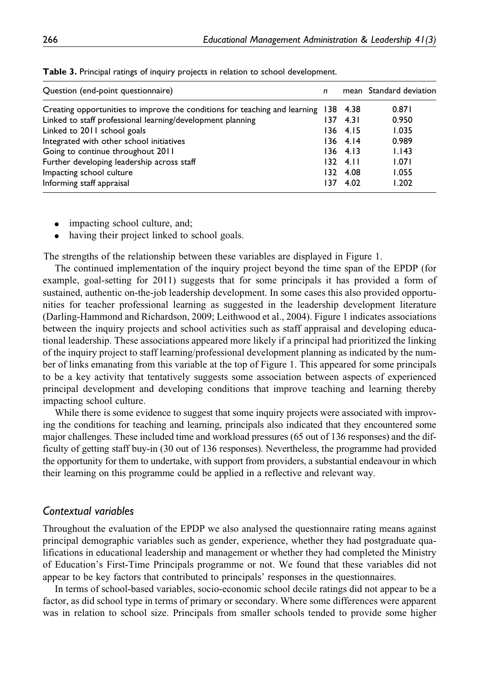| Question (end-point questionnaire)                                                  | n    |              | mean Standard deviation |
|-------------------------------------------------------------------------------------|------|--------------|-------------------------|
| Creating opportunities to improve the conditions for teaching and learning 138 4.38 |      |              | 0.871                   |
| Linked to staff professional learning/development planning                          | 137. | 4.31         | 0.950                   |
| Linked to 2011 school goals                                                         |      | 136 4.15     | 1.035                   |
| Integrated with other school initiatives                                            |      | $136$ 4.14   | 0.989                   |
| Going to continue throughout 2011                                                   |      | $136$ 4.13   | 1.143                   |
| Further developing leadership across staff                                          |      | $132 + 4.11$ | 1.071                   |
| Impacting school culture                                                            |      | 132 4.08     | 1.055                   |
| Informing staff appraisal                                                           | 137  | -4.02        | 1.202                   |

| Table 3. Principal ratings of inquiry projects in relation to school development. |  |  |  |
|-----------------------------------------------------------------------------------|--|--|--|
|                                                                                   |  |  |  |

- $\bullet$ impacting school culture, and;
- $\bullet$ having their project linked to school goals.

The strengths of the relationship between these variables are displayed in Figure 1.

The continued implementation of the inquiry project beyond the time span of the EPDP (for example, goal-setting for 2011) suggests that for some principals it has provided a form of sustained, authentic on-the-job leadership development. In some cases this also provided opportunities for teacher professional learning as suggested in the leadership development literature (Darling-Hammond and Richardson, 2009; Leithwood et al., 2004). Figure 1 indicates associations between the inquiry projects and school activities such as staff appraisal and developing educational leadership. These associations appeared more likely if a principal had prioritized the linking of the inquiry project to staff learning/professional development planning as indicated by the number of links emanating from this variable at the top of Figure 1. This appeared for some principals to be a key activity that tentatively suggests some association between aspects of experienced principal development and developing conditions that improve teaching and learning thereby impacting school culture.

While there is some evidence to suggest that some inquiry projects were associated with improving the conditions for teaching and learning, principals also indicated that they encountered some major challenges. These included time and workload pressures (65 out of 136 responses) and the difficulty of getting staff buy-in (30 out of 136 responses). Nevertheless, the programme had provided the opportunity for them to undertake, with support from providers, a substantial endeavour in which their learning on this programme could be applied in a reflective and relevant way.

#### Contextual variables

Throughout the evaluation of the EPDP we also analysed the questionnaire rating means against principal demographic variables such as gender, experience, whether they had postgraduate qualifications in educational leadership and management or whether they had completed the Ministry of Education's First-Time Principals programme or not. We found that these variables did not appear to be key factors that contributed to principals' responses in the questionnaires.

In terms of school-based variables, socio-economic school decile ratings did not appear to be a factor, as did school type in terms of primary or secondary. Where some differences were apparent was in relation to school size. Principals from smaller schools tended to provide some higher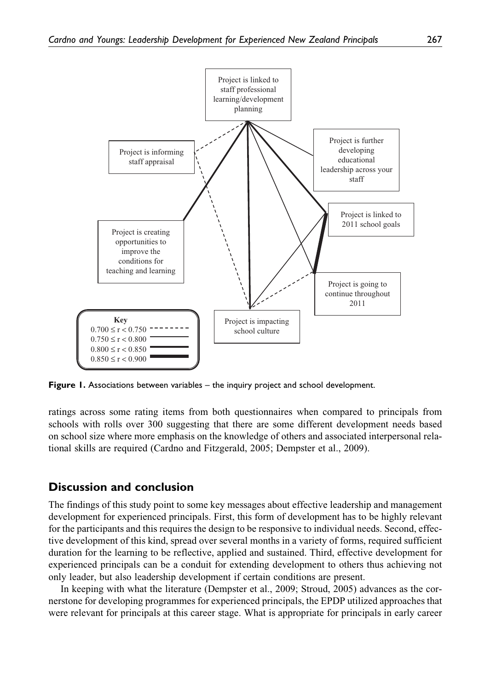

Figure 1. Associations between variables – the inquiry project and school development.

ratings across some rating items from both questionnaires when compared to principals from schools with rolls over 300 suggesting that there are some different development needs based on school size where more emphasis on the knowledge of others and associated interpersonal relational skills are required (Cardno and Fitzgerald, 2005; Dempster et al., 2009).

# Discussion and conclusion

The findings of this study point to some key messages about effective leadership and management development for experienced principals. First, this form of development has to be highly relevant for the participants and this requires the design to be responsive to individual needs. Second, effective development of this kind, spread over several months in a variety of forms, required sufficient duration for the learning to be reflective, applied and sustained. Third, effective development for experienced principals can be a conduit for extending development to others thus achieving not only leader, but also leadership development if certain conditions are present.

In keeping with what the literature (Dempster et al., 2009; Stroud, 2005) advances as the cornerstone for developing programmes for experienced principals, the EPDP utilized approaches that were relevant for principals at this career stage. What is appropriate for principals in early career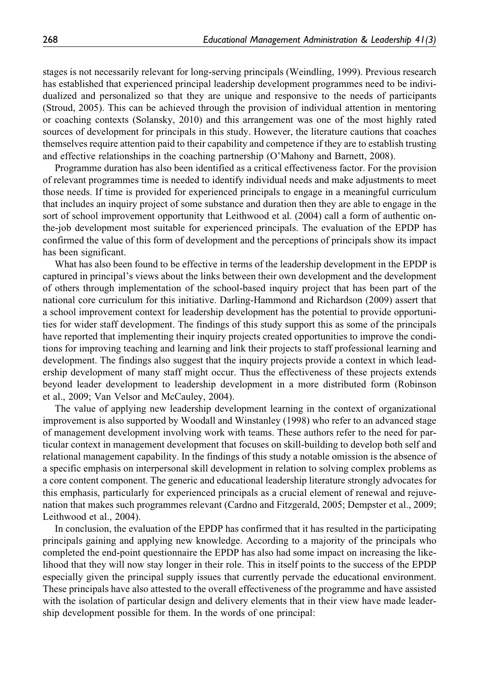stages is not necessarily relevant for long-serving principals (Weindling, 1999). Previous research has established that experienced principal leadership development programmes need to be individualized and personalized so that they are unique and responsive to the needs of participants (Stroud, 2005). This can be achieved through the provision of individual attention in mentoring or coaching contexts (Solansky, 2010) and this arrangement was one of the most highly rated sources of development for principals in this study. However, the literature cautions that coaches themselves require attention paid to their capability and competence if they are to establish trusting and effective relationships in the coaching partnership (O'Mahony and Barnett, 2008).

Programme duration has also been identified as a critical effectiveness factor. For the provision of relevant programmes time is needed to identify individual needs and make adjustments to meet those needs. If time is provided for experienced principals to engage in a meaningful curriculum that includes an inquiry project of some substance and duration then they are able to engage in the sort of school improvement opportunity that Leithwood et al. (2004) call a form of authentic onthe-job development most suitable for experienced principals. The evaluation of the EPDP has confirmed the value of this form of development and the perceptions of principals show its impact has been significant.

What has also been found to be effective in terms of the leadership development in the EPDP is captured in principal's views about the links between their own development and the development of others through implementation of the school-based inquiry project that has been part of the national core curriculum for this initiative. Darling-Hammond and Richardson (2009) assert that a school improvement context for leadership development has the potential to provide opportunities for wider staff development. The findings of this study support this as some of the principals have reported that implementing their inquiry projects created opportunities to improve the conditions for improving teaching and learning and link their projects to staff professional learning and development. The findings also suggest that the inquiry projects provide a context in which leadership development of many staff might occur. Thus the effectiveness of these projects extends beyond leader development to leadership development in a more distributed form (Robinson et al., 2009; Van Velsor and McCauley, 2004).

The value of applying new leadership development learning in the context of organizational improvement is also supported by Woodall and Winstanley (1998) who refer to an advanced stage of management development involving work with teams. These authors refer to the need for particular context in management development that focuses on skill-building to develop both self and relational management capability. In the findings of this study a notable omission is the absence of a specific emphasis on interpersonal skill development in relation to solving complex problems as a core content component. The generic and educational leadership literature strongly advocates for this emphasis, particularly for experienced principals as a crucial element of renewal and rejuvenation that makes such programmes relevant (Cardno and Fitzgerald, 2005; Dempster et al., 2009; Leithwood et al., 2004).

In conclusion, the evaluation of the EPDP has confirmed that it has resulted in the participating principals gaining and applying new knowledge. According to a majority of the principals who completed the end-point questionnaire the EPDP has also had some impact on increasing the likelihood that they will now stay longer in their role. This in itself points to the success of the EPDP especially given the principal supply issues that currently pervade the educational environment. These principals have also attested to the overall effectiveness of the programme and have assisted with the isolation of particular design and delivery elements that in their view have made leadership development possible for them. In the words of one principal: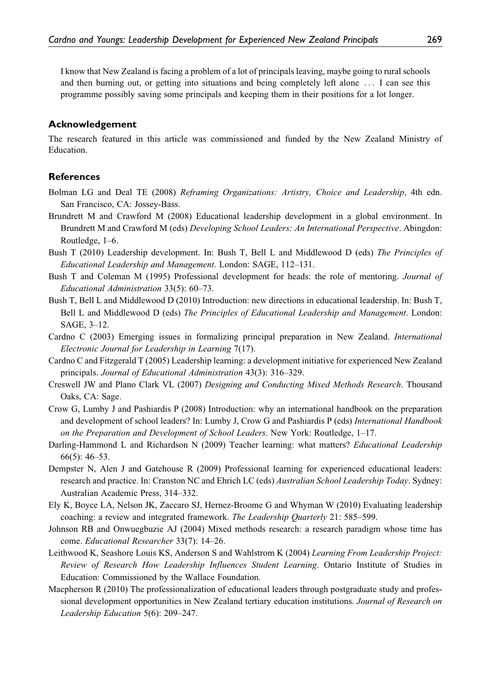I know that New Zealand is facing a problem of a lot of principals leaving, maybe going to rural schools and then burning out, or getting into situations and being completely left alone ... I can see this programme possibly saving some principals and keeping them in their positions for a lot longer.

#### Acknowledgement

The research featured in this article was commissioned and funded by the New Zealand Ministry of Education.

#### References

- Bolman LG and Deal TE (2008) Reframing Organizations: Artistry, Choice and Leadership, 4th edn. San Francisco, CA: Jossey-Bass.
- Brundrett M and Crawford M (2008) Educational leadership development in a global environment. In Brundrett M and Crawford M (eds) Developing School Leaders: An International Perspective. Abingdon: Routledge, 1–6.
- Bush T (2010) Leadership development. In: Bush T, Bell L and Middlewood D (eds) The Principles of Educational Leadership and Management. London: SAGE, 112–131.
- Bush T and Coleman M (1995) Professional development for heads: the role of mentoring. Journal of Educational Administration 33(5): 60–73.
- Bush T, Bell L and Middlewood D (2010) Introduction: new directions in educational leadership. In: Bush T, Bell L and Middlewood D (eds) The Principles of Educational Leadership and Management. London: SAGE, 3–12.
- Cardno C (2003) Emerging issues in formalizing principal preparation in New Zealand. International Electronic Journal for Leadership in Learning 7(17).
- Cardno C and Fitzgerald T (2005) Leadership learning: a development initiative for experienced New Zealand principals. Journal of Educational Administration 43(3): 316–329.
- Creswell JW and Plano Clark VL (2007) Designing and Conducting Mixed Methods Research. Thousand Oaks, CA: Sage.
- Crow G, Lumby J and Pashiardis P (2008) Introduction: why an international handbook on the preparation and development of school leaders? In: Lumby J, Crow G and Pashiardis P (eds) International Handbook on the Preparation and Development of School Leaders. New York: Routledge, 1–17.
- Darling-Hammond L and Richardson N (2009) Teacher learning: what matters? Educational Leadership 66(5): 46–53.
- Dempster N, Alen J and Gatehouse R (2009) Professional learning for experienced educational leaders: research and practice. In: Cranston NC and Ehrich LC (eds) Australian School Leadership Today. Sydney: Australian Academic Press, 314–332.
- Ely K, Boyce LA, Nelson JK, Zaccaro SJ, Hernez-Broome G and Whyman W (2010) Evaluating leadership coaching: a review and integrated framework. The Leadership Quarterly 21: 585–599.
- Johnson RB and Onwuegbuzie AJ (2004) Mixed methods research: a research paradigm whose time has come. Educational Researcher 33(7): 14–26.
- Leithwood K, Seashore Louis KS, Anderson S and Wahlstrom K (2004) Learning From Leadership Project: Review of Research How Leadership Influences Student Learning. Ontario Institute of Studies in Education: Commissioned by the Wallace Foundation.
- Macpherson R (2010) The professionalization of educational leaders through postgraduate study and professional development opportunities in New Zealand tertiary education institutions. Journal of Research on Leadership Education 5(6): 209–247.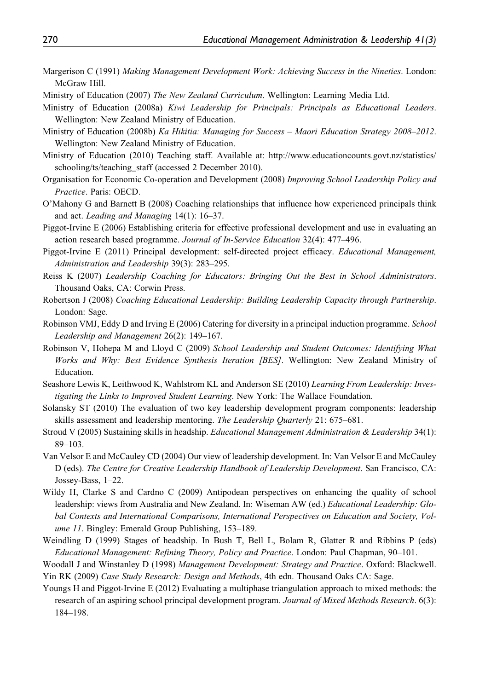- Margerison C (1991) Making Management Development Work: Achieving Success in the Nineties. London: McGraw Hill.
- Ministry of Education (2007) The New Zealand Curriculum. Wellington: Learning Media Ltd.
- Ministry of Education (2008a) Kiwi Leadership for Principals: Principals as Educational Leaders. Wellington: New Zealand Ministry of Education.
- Ministry of Education (2008b) Ka Hikitia: Managing for Success Maori Education Strategy 2008–2012. Wellington: New Zealand Ministry of Education.
- Ministry of Education (2010) Teaching staff. Available at: [http://www.educationcounts.govt.nz/statistics/](http://www.educationcounts.govt.nz/statistics/schooling/ts/teaching_staff) [schooling/ts/teaching\\_staff](http://www.educationcounts.govt.nz/statistics/schooling/ts/teaching_staff) (accessed 2 December 2010).
- Organisation for Economic Co-operation and Development (2008) Improving School Leadership Policy and Practice. Paris: OECD.
- O'Mahony G and Barnett B (2008) Coaching relationships that influence how experienced principals think and act. Leading and Managing 14(1): 16–37.
- Piggot-Irvine E (2006) Establishing criteria for effective professional development and use in evaluating an action research based programme. Journal of In-Service Education 32(4): 477–496.
- Piggot-Irvine E (2011) Principal development: self-directed project efficacy. Educational Management, Administration and Leadership 39(3): 283–295.
- Reiss K (2007) Leadership Coaching for Educators: Bringing Out the Best in School Administrators. Thousand Oaks, CA: Corwin Press.
- Robertson J (2008) Coaching Educational Leadership: Building Leadership Capacity through Partnership. London: Sage.
- Robinson VMJ, Eddy D and Irving E (2006) Catering for diversity in a principal induction programme. School Leadership and Management 26(2): 149–167.
- Robinson V, Hohepa M and Lloyd C (2009) School Leadership and Student Outcomes: Identifying What Works and Why: Best Evidence Synthesis Iteration [BES]. Wellington: New Zealand Ministry of Education.
- Seashore Lewis K, Leithwood K, Wahlstrom KL and Anderson SE (2010) Learning From Leadership: Investigating the Links to Improved Student Learning. New York: The Wallace Foundation.
- Solansky ST (2010) The evaluation of two key leadership development program components: leadership skills assessment and leadership mentoring. The Leadership Quarterly 21: 675–681.
- Stroud V (2005) Sustaining skills in headship. Educational Management Administration & Leadership 34(1): 89–103.
- Van Velsor E and McCauley CD (2004) Our view of leadership development. In: Van Velsor E and McCauley D (eds). The Centre for Creative Leadership Handbook of Leadership Development. San Francisco, CA: Jossey-Bass, 1–22.
- Wildy H, Clarke S and Cardno C (2009) Antipodean perspectives on enhancing the quality of school leadership: views from Australia and New Zealand. In: Wiseman AW (ed.) Educational Leadership: Global Contexts and International Comparisons, International Perspectives on Education and Society, Volume 11. Bingley: Emerald Group Publishing, 153–189.
- Weindling D (1999) Stages of headship. In Bush T, Bell L, Bolam R, Glatter R and Ribbins P (eds) Educational Management: Refining Theory, Policy and Practice. London: Paul Chapman, 90–101.
- Woodall J and Winstanley D (1998) Management Development: Strategy and Practice. Oxford: Blackwell. Yin RK (2009) Case Study Research: Design and Methods, 4th edn. Thousand Oaks CA: Sage.
- Youngs H and Piggot-Irvine E (2012) Evaluating a multiphase triangulation approach to mixed methods: the research of an aspiring school principal development program. Journal of Mixed Methods Research. 6(3): 184–198.